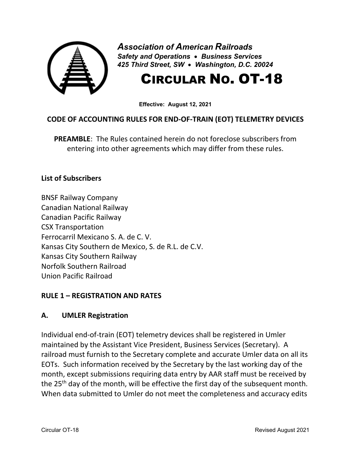

*Association of American Railroads Safety and Operations* • *Business Services 425 Third Street, SW* • *Washington, D.C. 20024*

# CIRCULAR NO. OT-18

**Effective: August 12, 2021**

# **CODE OF ACCOUNTING RULES FOR END-OF-TRAIN (EOT) TELEMETRY DEVICES**

**PREAMBLE**: The Rules contained herein do not foreclose subscribers from entering into other agreements which may differ from these rules.

#### **List of Subscribers**

BNSF Railway Company Canadian National Railway Canadian Pacific Railway CSX Transportation Ferrocarril Mexicano S. A. de C. V. Kansas City Southern de Mexico, S. de R.L. de C.V. Kansas City Southern Railway Norfolk Southern Railroad Union Pacific Railroad

## **RULE 1 – REGISTRATION AND RATES**

## **A. UMLER Registration**

Individual end-of-train (EOT) telemetry devices shall be registered in Umler maintained by the Assistant Vice President, Business Services (Secretary). A railroad must furnish to the Secretary complete and accurate Umler data on all its EOTs. Such information received by the Secretary by the last working day of the month, except submissions requiring data entry by AAR staff must be received by the 25<sup>th</sup> day of the month, will be effective the first day of the subsequent month. When data submitted to Umler do not meet the completeness and accuracy edits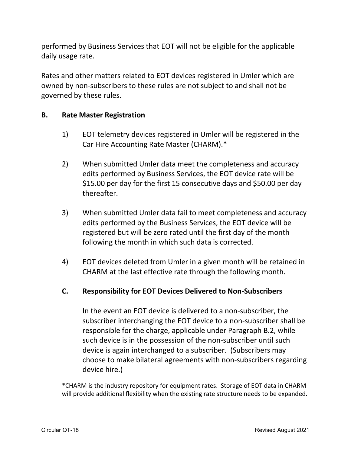performed by Business Services that EOT will not be eligible for the applicable daily usage rate.

Rates and other matters related to EOT devices registered in Umler which are owned by non-subscribers to these rules are not subject to and shall not be governed by these rules.

#### **B. Rate Master Registration**

- 1) EOT telemetry devices registered in Umler will be registered in the Car Hire Accounting Rate Master (CHARM).\*
- 2) When submitted Umler data meet the completeness and accuracy edits performed by Business Services, the EOT device rate will be \$15.00 per day for the first 15 consecutive days and \$50.00 per day thereafter.
- 3) When submitted Umler data fail to meet completeness and accuracy edits performed by the Business Services, the EOT device will be registered but will be zero rated until the first day of the month following the month in which such data is corrected.
- 4) EOT devices deleted from Umler in a given month will be retained in CHARM at the last effective rate through the following month.

## **C. Responsibility for EOT Devices Delivered to Non-Subscribers**

In the event an EOT device is delivered to a non-subscriber, the subscriber interchanging the EOT device to a non-subscriber shall be responsible for the charge, applicable under Paragraph B.2, while such device is in the possession of the non-subscriber until such device is again interchanged to a subscriber. (Subscribers may choose to make bilateral agreements with non-subscribers regarding device hire.)

\*CHARM is the industry repository for equipment rates. Storage of EOT data in CHARM will provide additional flexibility when the existing rate structure needs to be expanded.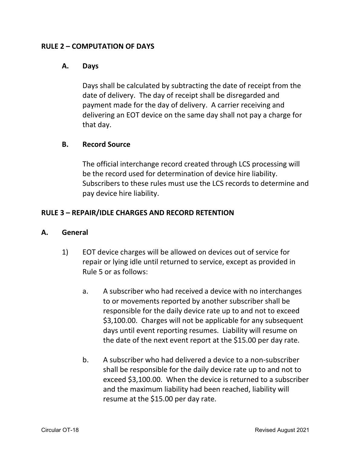#### **RULE 2 – COMPUTATION OF DAYS**

#### **A. Days**

Days shall be calculated by subtracting the date of receipt from the date of delivery. The day of receipt shall be disregarded and payment made for the day of delivery. A carrier receiving and delivering an EOT device on the same day shall not pay a charge for that day.

#### **B. Record Source**

The official interchange record created through LCS processing will be the record used for determination of device hire liability. Subscribers to these rules must use the LCS records to determine and pay device hire liability.

## **RULE 3 – REPAIR/IDLE CHARGES AND RECORD RETENTION**

#### **A. General**

- 1) EOT device charges will be allowed on devices out of service for repair or lying idle until returned to service, except as provided in Rule 5 or as follows:
	- a. A subscriber who had received a device with no interchanges to or movements reported by another subscriber shall be responsible for the daily device rate up to and not to exceed \$3,100.00. Charges will not be applicable for any subsequent days until event reporting resumes. Liability will resume on the date of the next event report at the \$15.00 per day rate.
	- b. A subscriber who had delivered a device to a non-subscriber shall be responsible for the daily device rate up to and not to exceed \$3,100.00. When the device is returned to a subscriber and the maximum liability had been reached, liability will resume at the \$15.00 per day rate.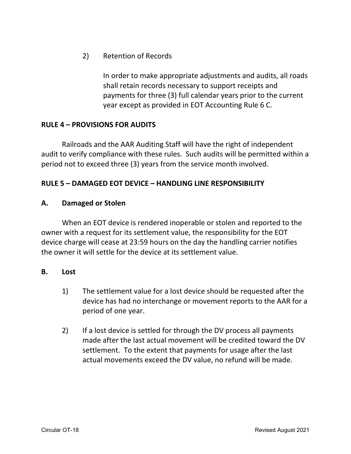2) Retention of Records

In order to make appropriate adjustments and audits, all roads shall retain records necessary to support receipts and payments for three (3) full calendar years prior to the current year except as provided in EOT Accounting Rule 6 C.

#### **RULE 4 – PROVISIONS FOR AUDITS**

Railroads and the AAR Auditing Staff will have the right of independent audit to verify compliance with these rules. Such audits will be permitted within a period not to exceed three (3) years from the service month involved.

## **RULE 5 – DAMAGED EOT DEVICE – HANDLING LINE RESPONSIBILITY**

#### **A. Damaged or Stolen**

When an EOT device is rendered inoperable or stolen and reported to the owner with a request for its settlement value, the responsibility for the EOT device charge will cease at 23:59 hours on the day the handling carrier notifies the owner it will settle for the device at its settlement value.

#### **B. Lost**

- 1) The settlement value for a lost device should be requested after the device has had no interchange or movement reports to the AAR for a period of one year.
- 2) If a lost device is settled for through the DV process all payments made after the last actual movement will be credited toward the DV settlement. To the extent that payments for usage after the last actual movements exceed the DV value, no refund will be made.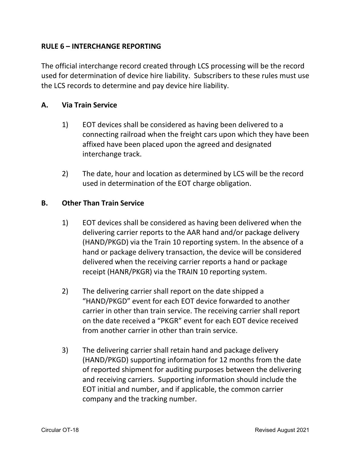## **RULE 6 – INTERCHANGE REPORTING**

The official interchange record created through LCS processing will be the record used for determination of device hire liability. Subscribers to these rules must use the LCS records to determine and pay device hire liability.

#### **A. Via Train Service**

- 1) EOT devices shall be considered as having been delivered to a connecting railroad when the freight cars upon which they have been affixed have been placed upon the agreed and designated interchange track.
- 2) The date, hour and location as determined by LCS will be the record used in determination of the EOT charge obligation.

#### **B. Other Than Train Service**

- 1) EOT devices shall be considered as having been delivered when the delivering carrier reports to the AAR hand and/or package delivery (HAND/PKGD) via the Train 10 reporting system. In the absence of a hand or package delivery transaction, the device will be considered delivered when the receiving carrier reports a hand or package receipt (HANR/PKGR) via the TRAIN 10 reporting system.
- 2) The delivering carrier shall report on the date shipped a "HAND/PKGD" event for each EOT device forwarded to another carrier in other than train service. The receiving carrier shall report on the date received a "PKGR" event for each EOT device received from another carrier in other than train service.
- 3) The delivering carrier shall retain hand and package delivery (HAND/PKGD) supporting information for 12 months from the date of reported shipment for auditing purposes between the delivering and receiving carriers. Supporting information should include the EOT initial and number, and if applicable, the common carrier company and the tracking number.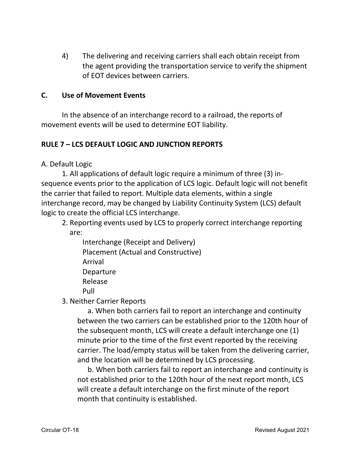4) The delivering and receiving carriers shall each obtain receipt from the agent providing the transportation service to verify the shipment of EOT devices between carriers.

#### **C. Use of Movement Events**

In the absence of an interchange record to a railroad, the reports of movement events will be used to determine EOT liability.

# **RULE 7 – LCS DEFAULT LOGIC AND JUNCTION REPORTS**

A. Default Logic

1. All applications of default logic require a minimum of three (3) insequence events prior to the application of LCS logic. Default logic will not benefit the carrier that failed to report. Multiple data elements, within a single interchange record, may be changed by Liability Continuity System (LCS) default logic to create the official LCS interchange.

2. Reporting events used by LCS to properly correct interchange reporting are:

Interchange (Receipt and Delivery) Placement (Actual and Constructive) Arrival **Departure** Release Pull

3. Neither Carrier Reports

a. When both carriers fail to report an interchange and continuity between the two carriers can be established prior to the 120th hour of the subsequent month, LCS will create a default interchange one (1) minute prior to the time of the first event reported by the receiving carrier. The load/empty status will be taken from the delivering carrier, and the location will be determined by LCS processing.

b. When both carriers fail to report an interchange and continuity is not established prior to the 120th hour of the next report month, LCS will create a default interchange on the first minute of the report month that continuity is established.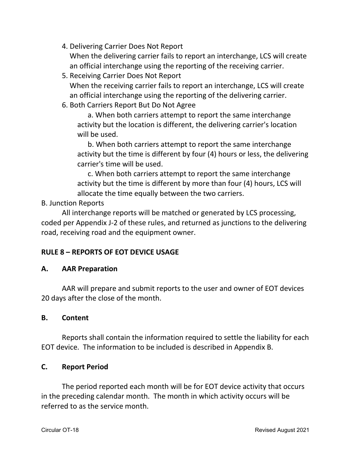- 4. Delivering Carrier Does Not Report When the delivering carrier fails to report an interchange, LCS will create an official interchange using the reporting of the receiving carrier.
- 5. Receiving Carrier Does Not Report When the receiving carrier fails to report an interchange, LCS will create an official interchange using the reporting of the delivering carrier.
- 6. Both Carriers Report But Do Not Agree

a. When both carriers attempt to report the same interchange activity but the location is different, the delivering carrier's location will be used.

b. When both carriers attempt to report the same interchange activity but the time is different by four (4) hours or less, the delivering carrier's time will be used.

c. When both carriers attempt to report the same interchange activity but the time is different by more than four (4) hours, LCS will allocate the time equally between the two carriers.

B. Junction Reports

All interchange reports will be matched or generated by LCS processing, coded per Appendix J-2 of these rules, and returned as junctions to the delivering road, receiving road and the equipment owner.

# **RULE 8 – REPORTS OF EOT DEVICE USAGE**

# **A. AAR Preparation**

AAR will prepare and submit reports to the user and owner of EOT devices 20 days after the close of the month.

# **B. Content**

Reports shall contain the information required to settle the liability for each EOT device. The information to be included is described in Appendix B.

# **C. Report Period**

The period reported each month will be for EOT device activity that occurs in the preceding calendar month. The month in which activity occurs will be referred to as the service month.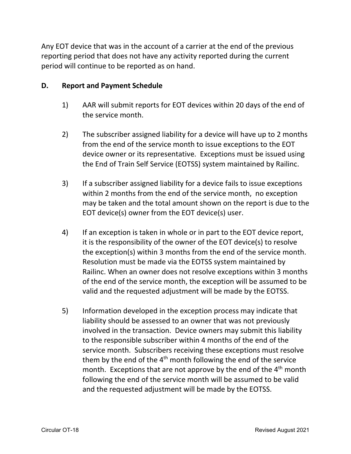Any EOT device that was in the account of a carrier at the end of the previous reporting period that does not have any activity reported during the current period will continue to be reported as on hand.

#### **D. Report and Payment Schedule**

- 1) AAR will submit reports for EOT devices within 20 days of the end of the service month.
- 2) The subscriber assigned liability for a device will have up to 2 months from the end of the service month to issue exceptions to the EOT device owner or its representative. Exceptions must be issued using the End of Train Self Service (EOTSS) system maintained by Railinc.
- 3) If a subscriber assigned liability for a device fails to issue exceptions within 2 months from the end of the service month, no exception may be taken and the total amount shown on the report is due to the EOT device(s) owner from the EOT device(s) user.
- 4) If an exception is taken in whole or in part to the EOT device report, it is the responsibility of the owner of the EOT device(s) to resolve the exception(s) within 3 months from the end of the service month. Resolution must be made via the EOTSS system maintained by Railinc. When an owner does not resolve exceptions within 3 months of the end of the service month, the exception will be assumed to be valid and the requested adjustment will be made by the EOTSS.
- 5) Information developed in the exception process may indicate that liability should be assessed to an owner that was not previously involved in the transaction. Device owners may submit this liability to the responsible subscriber within 4 months of the end of the service month. Subscribers receiving these exceptions must resolve them by the end of the  $4<sup>th</sup>$  month following the end of the service month. Exceptions that are not approve by the end of the  $4<sup>th</sup>$  month following the end of the service month will be assumed to be valid and the requested adjustment will be made by the EOTSS.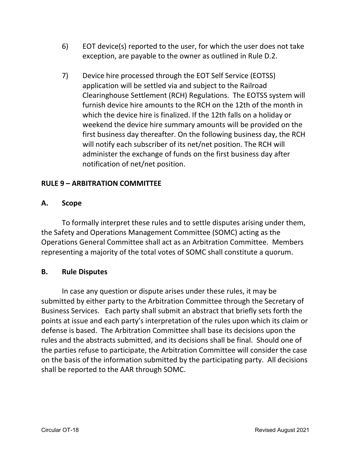- 6) EOT device(s) reported to the user, for which the user does not take exception, are payable to the owner as outlined in Rule D.2.
- 7) Device hire processed through the EOT Self Service (EOTSS) application will be settled via and subject to the Railroad Clearinghouse Settlement (RCH) Regulations. The EOTSS system will furnish device hire amounts to the RCH on the 12th of the month in which the device hire is finalized. If the 12th falls on a holiday or weekend the device hire summary amounts will be provided on the first business day thereafter. On the following business day, the RCH will notify each subscriber of its net/net position. The RCH will administer the exchange of funds on the first business day after notification of net/net position.

# **RULE 9 – ARBITRATION COMMITTEE**

## **A. Scope**

To formally interpret these rules and to settle disputes arising under them, the Safety and Operations Management Committee (SOMC) acting as the Operations General Committee shall act as an Arbitration Committee. Members representing a majority of the total votes of SOMC shall constitute a quorum.

#### **B. Rule Disputes**

In case any question or dispute arises under these rules, it may be submitted by either party to the Arbitration Committee through the Secretary of Business Services. Each party shall submit an abstract that briefly sets forth the points at issue and each party's interpretation of the rules upon which its claim or defense is based. The Arbitration Committee shall base its decisions upon the rules and the abstracts submitted, and its decisions shall be final. Should one of the parties refuse to participate, the Arbitration Committee will consider the case on the basis of the information submitted by the participating party. All decisions shall be reported to the AAR through SOMC.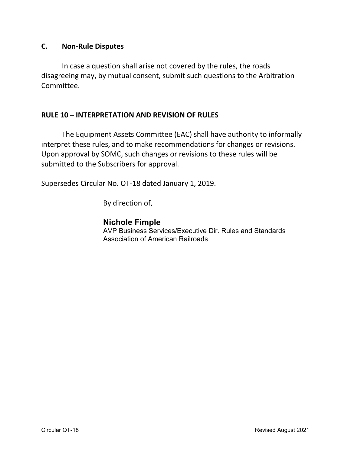#### **C. Non-Rule Disputes**

In case a question shall arise not covered by the rules, the roads disagreeing may, by mutual consent, submit such questions to the Arbitration Committee.

#### **RULE 10 – INTERPRETATION AND REVISION OF RULES**

The Equipment Assets Committee (EAC) shall have authority to informally interpret these rules, and to make recommendations for changes or revisions. Upon approval by SOMC, such changes or revisions to these rules will be submitted to the Subscribers for approval.

Supersedes Circular No. OT-18 dated January 1, 2019.

By direction of,

# **Nichole Fimple**

AVP Business Services/Executive Dir. Rules and Standards Association of American Railroads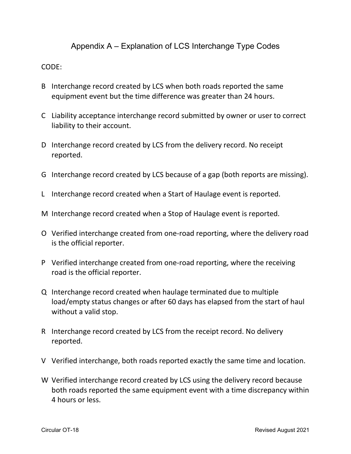Appendix A – Explanation of LCS Interchange Type Codes

#### CODE:

- B Interchange record created by LCS when both roads reported the same equipment event but the time difference was greater than 24 hours.
- C Liability acceptance interchange record submitted by owner or user to correct liability to their account.
- D Interchange record created by LCS from the delivery record. No receipt reported.
- G Interchange record created by LCS because of a gap (both reports are missing).
- L Interchange record created when a Start of Haulage event is reported.
- M Interchange record created when a Stop of Haulage event is reported.
- O Verified interchange created from one-road reporting, where the delivery road is the official reporter.
- P Verified interchange created from one-road reporting, where the receiving road is the official reporter.
- Q Interchange record created when haulage terminated due to multiple load/empty status changes or after 60 days has elapsed from the start of haul without a valid stop.
- R Interchange record created by LCS from the receipt record. No delivery reported.
- V Verified interchange, both roads reported exactly the same time and location.
- W Verified interchange record created by LCS using the delivery record because both roads reported the same equipment event with a time discrepancy within 4 hours or less.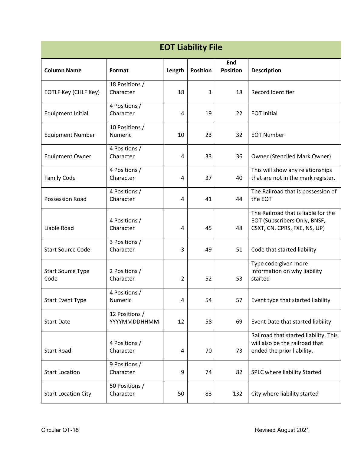| <b>EOT Liability File</b>        |                                |                |                 |                        |                                                                                                       |
|----------------------------------|--------------------------------|----------------|-----------------|------------------------|-------------------------------------------------------------------------------------------------------|
| <b>Column Name</b>               | Format                         | Length         | <b>Position</b> | End<br><b>Position</b> | <b>Description</b>                                                                                    |
| EOTLF Key (CHLF Key)             | 18 Positions /<br>Character    | 18             | 1               | 18                     | Record Identifier                                                                                     |
| Equipment Initial                | 4 Positions /<br>Character     | 4              | 19              | 22                     | <b>EOT Initial</b>                                                                                    |
| <b>Equipment Number</b>          | 10 Positions /<br>Numeric      | 10             | 23              | 32                     | <b>EOT Number</b>                                                                                     |
| <b>Equipment Owner</b>           | 4 Positions /<br>Character     | 4              | 33              | 36                     | <b>Owner (Stenciled Mark Owner)</b>                                                                   |
| <b>Family Code</b>               | 4 Positions /<br>Character     | 4              | 37              | 40                     | This will show any relationships<br>that are not in the mark register.                                |
| Possession Road                  | 4 Positions /<br>Character     | 4              | 41              | 44                     | The Railroad that is possession of<br>the EOT                                                         |
| Liable Road                      | 4 Positions /<br>Character     | 4              | 45              | 48                     | The Railroad that is liable for the<br>EOT (Subscribers Only, BNSF,<br>CSXT, CN, CPRS, FXE, NS, UP)   |
| <b>Start Source Code</b>         | 3 Positions /<br>Character     | 3              | 49              | 51                     | Code that started liability                                                                           |
| <b>Start Source Type</b><br>Code | 2 Positions /<br>Character     | $\overline{2}$ | 52              | 53                     | Type code given more<br>information on why liability<br>started                                       |
| <b>Start Event Type</b>          | 4 Positions /<br>Numeric       | 4              | 54              | 57                     | Event type that started liability                                                                     |
| <b>Start Date</b>                | 12 Positions /<br>YYYYMMDDHHMM | 12             | 58              | 69                     | Event Date that started liability                                                                     |
| Start Road                       | 4 Positions /<br>Character     | 4              | 70              | 73                     | Railroad that started liability. This<br>will also be the railroad that<br>ended the prior liability. |
| <b>Start Location</b>            | 9 Positions /<br>Character     | 9              | 74              | 82                     | SPLC where liability Started                                                                          |
| <b>Start Location City</b>       | 50 Positions /<br>Character    | 50             | 83              | 132                    | City where liability started                                                                          |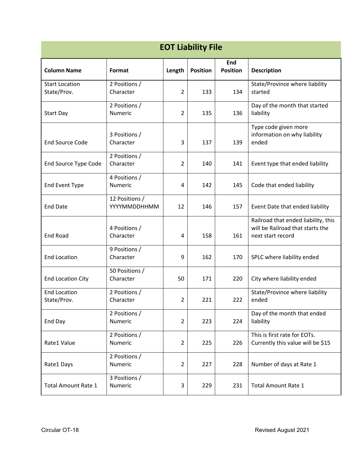| <b>EOT Liability File</b>            |                                |                |                 |                        |                                                                                              |
|--------------------------------------|--------------------------------|----------------|-----------------|------------------------|----------------------------------------------------------------------------------------------|
| <b>Column Name</b>                   | Format                         | Length         | <b>Position</b> | End<br><b>Position</b> | <b>Description</b>                                                                           |
| <b>Start Location</b><br>State/Prov. | 2 Positions /<br>Character     | $\overline{2}$ | 133             | 134                    | State/Province where liability<br>started                                                    |
| <b>Start Day</b>                     | 2 Positions /<br>Numeric       | $\overline{2}$ | 135             | 136                    | Day of the month that started<br>liability                                                   |
| <b>End Source Code</b>               | 3 Positions /<br>Character     | 3              | 137             | 139                    | Type code given more<br>information on why liability<br>ended                                |
| <b>End Source Type Code</b>          | 2 Positions /<br>Character     | $\overline{2}$ | 140             | 141                    | Event type that ended liability                                                              |
| <b>End Event Type</b>                | 4 Positions /<br>Numeric       | 4              | 142             | 145                    | Code that ended liability                                                                    |
| <b>End Date</b>                      | 12 Positions /<br>YYYYMMDDHHMM | 12             | 146             | 157                    | Event Date that ended liability                                                              |
| <b>End Road</b>                      | 4 Positions /<br>Character     | 4              | 158             | 161                    | Railroad that ended liability, this<br>will be Railroad that starts the<br>next start record |
| <b>End Location</b>                  | 9 Positions /<br>Character     | 9              | 162             | 170                    | SPLC where liability ended                                                                   |
| <b>End Location City</b>             | 50 Positions /<br>Character    | 50             | 171             | 220                    | City where liability ended                                                                   |
| <b>End Location</b><br>State/Prov.   | 2 Positions /<br>Character     | $\overline{2}$ | 221             | 222                    | State/Province where liability<br>ended                                                      |
| End Day                              | 2 Positions /<br>Numeric       | $\overline{2}$ | 223             | 224                    | Day of the month that ended<br>liability                                                     |
| Rate1 Value                          | 2 Positions /<br>Numeric       | $\overline{2}$ | 225             | 226                    | This is first rate for EOTs.<br>Currently this value will be \$15                            |
| Rate1 Days                           | 2 Positions /<br>Numeric       | $\overline{2}$ | 227             | 228                    | Number of days at Rate 1                                                                     |
| <b>Total Amount Rate 1</b>           | 3 Positions /<br>Numeric       | 3              | 229             | 231                    | <b>Total Amount Rate 1</b>                                                                   |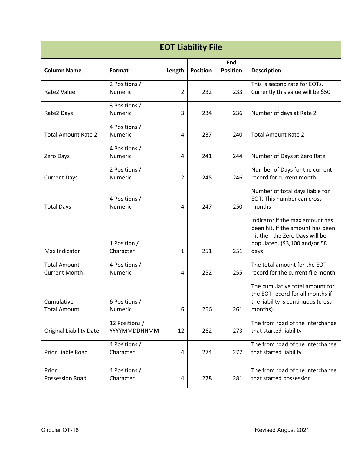| <b>EOT Liability File</b>                   |                                 |                |                 |                        |                                                                                                                                                |  |
|---------------------------------------------|---------------------------------|----------------|-----------------|------------------------|------------------------------------------------------------------------------------------------------------------------------------------------|--|
| <b>Column Name</b>                          | Format                          | Length         | <b>Position</b> | End<br><b>Position</b> | <b>Description</b>                                                                                                                             |  |
| Rate2 Value                                 | 2 Positions /<br>Numeric        | $\overline{2}$ | 232             | 233                    | This is second rate for EOTs.<br>Currently this value will be \$50                                                                             |  |
| Rate2 Days                                  | 3 Positions /<br><b>Numeric</b> | 3              | 234             | 236                    | Number of days at Rate 2                                                                                                                       |  |
| <b>Total Amount Rate 2</b>                  | 4 Positions /<br>Numeric        | 4              | 237             | 240                    | <b>Total Amount Rate 2</b>                                                                                                                     |  |
| Zero Days                                   | 4 Positions /<br>Numeric        | 4              | 241             | 244                    | Number of Days at Zero Rate                                                                                                                    |  |
| <b>Current Days</b>                         | 2 Positions /<br>Numeric        | 2              | 245             | 246                    | Number of Days for the current<br>record for current month                                                                                     |  |
| <b>Total Days</b>                           | 4 Positions /<br><b>Numeric</b> | 4              | 247             | 250                    | Number of total days liable for<br>EOT. This number can cross<br>months                                                                        |  |
| Max Indicator                               | 1 Position /<br>Character       | 1              | 251             | 251                    | Indicator if the max amount has<br>been hit. If the amount has been<br>hit then the Zero Days will be<br>populated. (\$3,100 and/or 58<br>days |  |
| <b>Total Amount</b><br><b>Current Month</b> | 4 Positions /<br>Numeric        | 4              | 252             | 255                    | The total amount for the EOT<br>record for the current file month.                                                                             |  |
| Cumulative<br><b>Total Amount</b>           | 6 Positions /<br>Numeric        | 6              | 256             | 261                    | The cumulative total amount for<br>the EOT record for all months if<br>the liability is continuous (cross-<br>months).                         |  |
| <b>Original Liability Date</b>              | 12 Positions /<br>YYYYMMDDHHMM  | 12             | 262             | 273                    | The from road of the interchange<br>that started liability                                                                                     |  |
| Prior Liable Road                           | 4 Positions /<br>Character      | $\overline{a}$ | 274             | 277                    | The from road of the interchange<br>that started liability                                                                                     |  |
| Prior<br>Possession Road                    | 4 Positions /<br>Character      | 4              | 278             | 281                    | The from road of the interchange<br>that started possession                                                                                    |  |